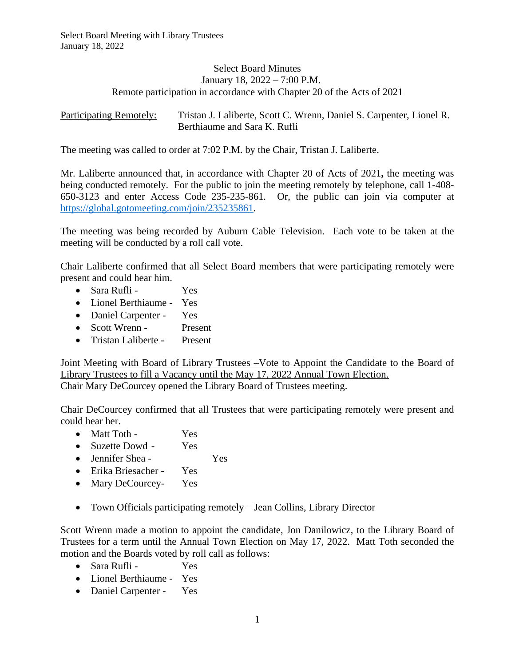## Select Board Minutes January 18, 2022 – 7:00 P.M. Remote participation in accordance with Chapter 20 of the Acts of 2021

Participating Remotely: Tristan J. Laliberte, Scott C. Wrenn, Daniel S. Carpenter, Lionel R. Berthiaume and Sara K. Rufli

The meeting was called to order at 7:02 P.M. by the Chair, Tristan J. Laliberte.

Mr. Laliberte announced that, in accordance with Chapter 20 of Acts of 2021**,** the meeting was being conducted remotely. For the public to join the meeting remotely by telephone, call 1-408- 650-3123 and enter Access Code 235-235-861*.* Or, the public can join via computer at <https://global.gotomeeting.com/join/235235861>.

The meeting was being recorded by Auburn Cable Television. Each vote to be taken at the meeting will be conducted by a roll call vote.

Chair Laliberte confirmed that all Select Board members that were participating remotely were present and could hear him.

- Sara Rufli Yes
- Lionel Berthiaume Yes
- Daniel Carpenter Yes
- Scott Wrenn Present
- Tristan Laliberte Present

Joint Meeting with Board of Library Trustees –Vote to Appoint the Candidate to the Board of Library Trustees to fill a Vacancy until the May 17, 2022 Annual Town Election. Chair Mary DeCourcey opened the Library Board of Trustees meeting.

Chair DeCourcey confirmed that all Trustees that were participating remotely were present and could hear her.

- Matt Toth Yes
- Suzette Dowd Yes
- Jennifer Shea Yes
- Erika Briesacher Yes
- Mary DeCourcey- Yes
- Town Officials participating remotely Jean Collins, Library Director

Scott Wrenn made a motion to appoint the candidate, Jon Danilowicz, to the Library Board of Trustees for a term until the Annual Town Election on May 17, 2022. Matt Toth seconded the motion and the Boards voted by roll call as follows:

- Sara Rufli Yes
- Lionel Berthiaume Yes
- Daniel Carpenter Yes